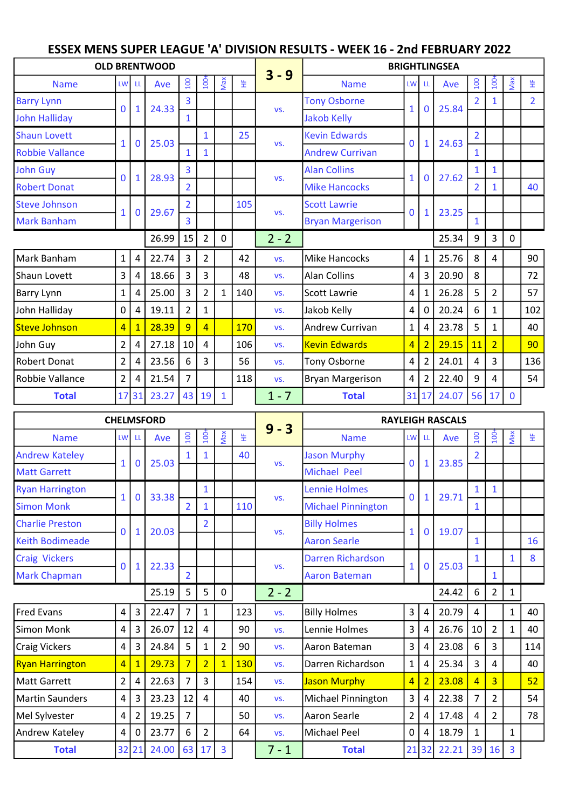## ESSEX MENS SUPER LEAGUE 'A' DIVISION RESULTS - WEEK 16 - 2nd FEBRUARY 2022

|                        |                |              | <b>OLD BRENTWOOD</b> |                |                  |              |     |         |                         |                 |                         | <b>BRIGHTLINGSEA</b> |                |                |              |                |
|------------------------|----------------|--------------|----------------------|----------------|------------------|--------------|-----|---------|-------------------------|-----------------|-------------------------|----------------------|----------------|----------------|--------------|----------------|
| <b>Name</b>            | <b>LW</b>      | Ш            | Ave                  | 100            | 100 <sup>2</sup> | Max          | 뚶   | $3 - 9$ | <b>Name</b>             | LW <sup>I</sup> | -LL                     | Ave                  | 100            | $100+$         | Max          | 뚶              |
| <b>Barry Lynn</b>      | $\Omega$       |              | 24.33                | 3              |                  |              |     | VS.     | <b>Tony Osborne</b>     | $\mathbf{1}$    |                         | 25.84                |                |                |              | $\overline{2}$ |
| John Halliday          |                | $\mathbf{1}$ |                      | $\mathbf{1}$   |                  |              |     |         | <b>Jakob Kelly</b>      |                 | $\mathbf 0$             |                      |                |                |              |                |
| <b>Shaun Lovett</b>    | 1              | $\mathbf 0$  | 25.03                |                | $\mathbf{1}$     |              | 25  | VS.     | <b>Kevin Edwards</b>    | $\mathbf{0}$    | $\mathbf{1}$            | 24.63                | $\overline{2}$ |                |              |                |
| <b>Robbie Vallance</b> |                |              |                      |                |                  |              |     |         | <b>Andrew Currivan</b>  |                 |                         |                      | 1              |                |              |                |
| John Guy               | 0              | $\mathbf{1}$ | 28.93                | 3              |                  |              |     | VS.     | <b>Alan Collins</b>     | 1               | $\mathbf{0}$            | 27.62                | 1              | $\mathbf{1}$   |              |                |
| <b>Robert Donat</b>    |                |              |                      | $\overline{2}$ |                  |              |     |         | <b>Mike Hancocks</b>    |                 |                         |                      | $\overline{2}$ |                |              | 40             |
| <b>Steve Johnson</b>   | 1              | $\bf{0}$     | 29.67                |                |                  |              | 105 | VS.     | <b>Scott Lawrie</b>     | $\mathbf{0}$    | $\mathbf{1}$            | 23.25                |                |                |              |                |
| <b>Mark Banham</b>     |                |              |                      | 3              |                  |              |     |         | <b>Bryan Margerison</b> |                 |                         |                      | $\mathbf{1}$   |                |              |                |
|                        |                |              | 26.99                | 15             | $\overline{2}$   | $\mathbf{0}$ |     | $2 - 2$ |                         |                 |                         | 25.34                | 9              | 3              | $\mathbf 0$  |                |
| Mark Banham            | $\mathbf{1}$   | 4            | 22.74                | 3              | $\overline{2}$   |              | 42  | VS.     | <b>Mike Hancocks</b>    | $\overline{4}$  | $\mathbf{1}$            | 25.76                | 8              | 4              |              | 90             |
| Shaun Lovett           | 3              | 4            | 18.66                | 3              | 3                |              | 48  | VS.     | <b>Alan Collins</b>     | 4               | $\overline{\mathbf{3}}$ | 20.90                | 8              |                |              | 72             |
| Barry Lynn             | $\mathbf{1}$   | 4            | 25.00                | 3              | 2                | $\mathbf{1}$ | 140 | VS.     | Scott Lawrie            | 4               | $\mathbf{1}$            | 26.28                | 5              | $\overline{2}$ |              | 57             |
| John Halliday          | 0              | 4            | 19.11                | $\overline{2}$ | $\mathbf{1}$     |              |     | VS.     | Jakob Kelly             | $\overline{4}$  | $\mathbf 0$             | 20.24                | 6              | $\mathbf{1}$   |              | 102            |
| Steve Johnson          | $\overline{4}$ | $\mathbf{1}$ | 28.39                | 9              | $\overline{4}$   |              | 170 | VS.     | Andrew Currivan         | $\mathbf{1}$    | 4                       | 23.78                | 5              | 1              |              | 40             |
| John Guy               | $\overline{2}$ | 4            | 27.18                | 10             | 4                |              | 106 | VS.     | <b>Kevin Edwards</b>    | $\overline{4}$  | $\overline{2}$          | 29.15                | 11             | $\overline{2}$ |              | 90             |
| Robert Donat           | $\overline{2}$ | 4            | 23.56                | 6              | 3                |              | 56  | VS.     | Tony Osborne            | 4               | $\overline{2}$          | 24.01                | 4              | 3              |              | 136            |
| Robbie Vallance        | $\overline{2}$ | 4            | 21.54                | 7              |                  |              | 118 | VS.     | <b>Bryan Margerison</b> | 4               | $\overline{2}$          | 22.40                | 9              | 4              |              | 54             |
| <b>Total</b>           | 17             | 31           | 23.27                | 43             | 19               | $\mathbf{1}$ |     | $1 - 7$ | <b>Total</b>            | 31 17           |                         | 24.07                | 56             | 17             | $\mathbf{0}$ |                |

|                        | <b>CHELMSFORD</b>       |                |       |                          |                  |                |     |         |                           |                |                | <b>RAYLEIGH RASCALS</b> |                |                |              |     |
|------------------------|-------------------------|----------------|-------|--------------------------|------------------|----------------|-----|---------|---------------------------|----------------|----------------|-------------------------|----------------|----------------|--------------|-----|
| <b>Name</b>            | <b>LW</b>               | LL             | Ave   | $\overline{100}$         | $\overline{100}$ | Max            | 뚶   | $9 - 3$ | <b>Name</b>               |                | LW LL          | Ave                     | $\overline{a}$ | $\overline{5}$ | Nax          | 뚶   |
| <b>Andrew Kateley</b>  | $\mathbf{1}$            | $\overline{0}$ | 25.03 |                          | 1                |                | 40  | VS.     | <b>Jason Murphy</b>       | $\mathbf{0}$   | 1              | 23.85                   |                |                |              |     |
| <b>Matt Garrett</b>    |                         |                |       |                          |                  |                |     |         | <b>Michael Peel</b>       |                |                |                         |                |                |              |     |
| <b>Ryan Harrington</b> | $\mathbf{1}$            | $\overline{0}$ | 33.38 |                          | $\mathbf{1}$     |                |     | VS.     | <b>Lennie Holmes</b>      | $\overline{0}$ | $\mathbf{1}$   | 29.71                   | 1              | 1              |              |     |
| <b>Simon Monk</b>      |                         |                |       | $\overline{2}$           | 1                |                | 110 |         | <b>Michael Pinnington</b> |                |                |                         | $\mathbf{1}$   |                |              |     |
| <b>Charlie Preston</b> | $\mathbf 0$             | 1              | 20.03 |                          | $\overline{2}$   |                |     | VS.     | <b>Billy Holmes</b>       | $\mathbf{1}$   | $\mathbf{0}$   | 19.07                   |                |                |              |     |
| <b>Keith Bodimeade</b> |                         |                |       |                          |                  |                |     |         | <b>Aaron Searle</b>       |                |                |                         | $\mathbf{1}$   |                |              | 16  |
| <b>Craig Vickers</b>   | $\mathbf 0$             | 1              | 22.33 |                          |                  |                |     | VS.     | <b>Darren Richardson</b>  | $\mathbf{1}$   | $\mathbf{0}$   | 25.03                   |                |                | 1            | 8   |
| <b>Mark Chapman</b>    |                         |                |       | $\overline{\mathcal{L}}$ |                  |                |     |         | <b>Aaron Bateman</b>      |                |                |                         |                | 1              |              |     |
|                        |                         |                | 25.19 | 5                        | 5                | 0              |     | $2 - 2$ |                           |                |                | 24.42                   | 6              | $\overline{2}$ | $\mathbf{1}$ |     |
| <b>Fred Evans</b>      | $\overline{4}$          | 3              | 22.47 | $\overline{7}$           | $\mathbf{1}$     |                | 123 | VS.     | <b>Billy Holmes</b>       | 3              | 4              | 20.79                   | 4              |                | $\mathbf{1}$ | 40  |
| Simon Monk             | 4                       | 3              | 26.07 | 12                       | 4                |                | 90  | VS.     | Lennie Holmes             | 3              | 4              | 26.76                   | 10             | $\overline{2}$ | $\mathbf{1}$ | 40  |
| <b>Craig Vickers</b>   | $\overline{\mathbf{4}}$ | 3              | 24.84 | 5                        | 1                | $\overline{2}$ | 90  | VS.     | Aaron Bateman             | 3              | 4              | 23.08                   | 6              | 3              |              | 114 |
| <b>Ryan Harrington</b> | $\overline{4}$          | $\mathbf{1}$   | 29.73 | $\overline{7}$           | $\overline{2}$   | $\overline{1}$ | 130 | VS.     | Darren Richardson         | $\mathbf{1}$   | 4              | 25.34                   | 3              | 4              |              | 40  |
| Matt Garrett           | $\overline{2}$          | 4              | 22.63 | $\overline{7}$           | 3                |                | 154 | VS.     | <b>Jason Murphy</b>       | 4              | $\overline{2}$ | 23.08                   | $\overline{4}$ | $\overline{3}$ |              | 52  |
| Martin Saunders        | $\overline{\mathbf{4}}$ | 3              | 23.23 | 12                       | 4                |                | 40  | VS.     | Michael Pinnington        | $\overline{3}$ | 4              | 22.38                   | 7              | $\overline{2}$ |              | 54  |
| Mel Sylvester          | 4                       | 2              | 19.25 | $\overline{7}$           |                  |                | 50  | VS.     | Aaron Searle              | $\overline{2}$ | 4              | 17.48                   | 4              | $\overline{2}$ |              | 78  |
| Andrew Kateley         | $\overline{\mathbf{4}}$ | 0              | 23.77 | 6                        | $\overline{2}$   |                | 64  | VS.     | <b>Michael Peel</b>       | 0              | 4              | 18.79                   | 1              |                | $\mathbf{1}$ |     |
| <b>Total</b>           | 32                      | 21             | 24.00 | 63                       | 17               | 3              |     | $7 - 1$ | <b>Total</b>              |                | 21 32          | 22.21                   | 39             | <b>16</b>      | 3            |     |